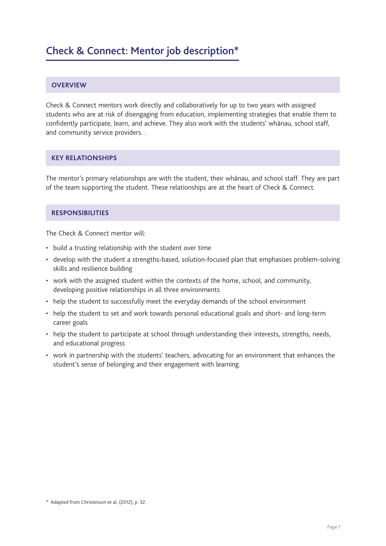### **OVERVIEW**

Check & Connect mentors work directly and collaboratively for up to two years with assigned students who are at risk of disengaging from education, implementing strategies that enable them to confidently participate, learn, and achieve. They also work with the students' whānau, school staff, and community service providers. .

# **KEY RELATIONSHIPS**

The mentor's primary relationships are with the student, their whānau, and school staff. They are part of the team supporting the student. These relationships are at the heart of Check & Connect.

# **RESPONSIBILITIES**

The Check & Connect mentor will:

- build a trusting relationship with the student over time
- develop with the student a strengths-based, solution-focused plan that emphasises problem-solving skills and resilience building
- work with the assigned student within the contexts of the home, school, and community, developing positive relationships in all three environments
- help the student to successfully meet the everyday demands of the school environment
- help the student to set and work towards personal educational goals and short- and long-term career goals
- help the student to participate at school through understanding their interests, strengths, needs, and educational progress
- work in partnership with the students' teachers, advocating for an environment that enhances the student's sense of belonging and their engagement with learning.

<sup>\*</sup> Adapted from Christenson et al. (2012), p. 32.